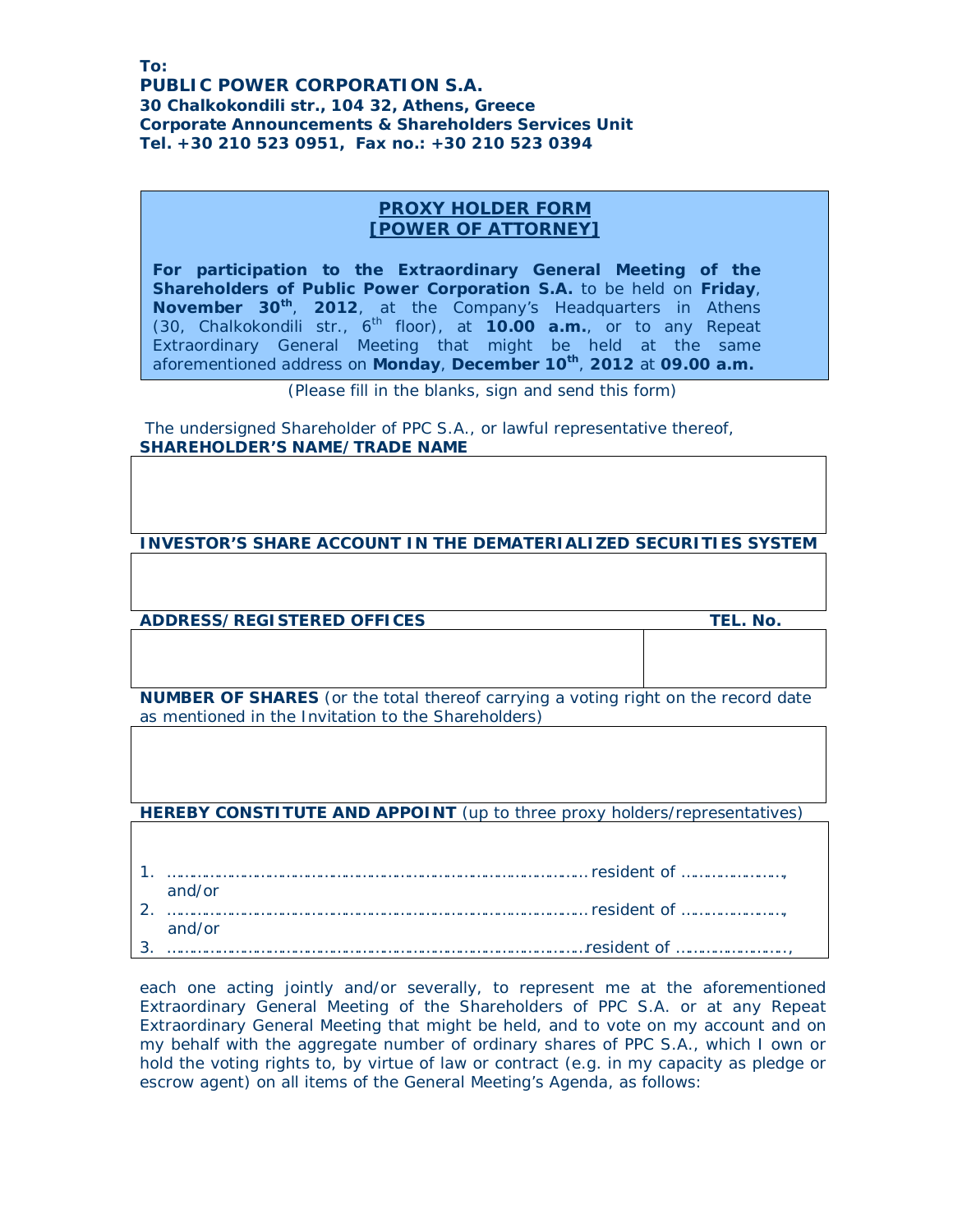**PUBLIC POWER CORPORATION S.A. 30 Chalkokondili str., 104 32, Athens, Greece Corporate Announcements & Shareholders Services Unit Ʒel. +30 210 523 0951, Fax no.: +30 210 523 0394** 

## **PROXY HOLDER FORM [POWER OF ATTORNEY]**

**For participation to the Extraordinary General Meeting of the Shareholders of Public Power Corporation S.A.** to be held on **Friday**, **November 30th** , **2012**, at the Company's Headquarters in Athens (30, Chalkokondili str., 6th floor), at **10.00 a.m.**, or to any Repeat Extraordinary General Meeting that might be held at the same aforementioned address on **Monday**, **December 10th** , **2012** at **09.00 a.m.**

*(Please fill in the blanks, sign and send this form)* 

 The undersigned Shareholder of PPC S.A., or lawful representative thereof, **SHAREHOLDER'S NAME/TRADE NAME** 

**INVESTOR'S SHARE ACCOUNT IN THE DEMATERIALIZED SECURITIES SYSTEM** 

**ADDRESS/REGISTERED OFFICES TEL. No.**

**NUMBER OF SHARES** (or the total thereof carrying a voting right on the record date as mentioned in the Invitation to the Shareholders)

**HEREBY CONSTITUTE AND APPOINT** (up to three proxy holders/representatives)

1. ……………………………………………………………………………………… resident of ……………………, and/or 2. ……………………………………………………………………………………… resident of ……………………, and/or 3. ………………………………………………………………………………………resident of ……………………..,

each one acting jointly and/or severally, to represent me at the aforementioned Extraordinary General Meeting of the Shareholders of PPC S.A. or at any Repeat Extraordinary General Meeting that might be held, and to vote on my account and on my behalf with the aggregate number of ordinary shares of PPC S.A., which I own or hold the voting rights to, by virtue of law or contract (e.g. in my capacity as pledge or escrow agent) on all items of the General Meeting's Agenda, as follows: